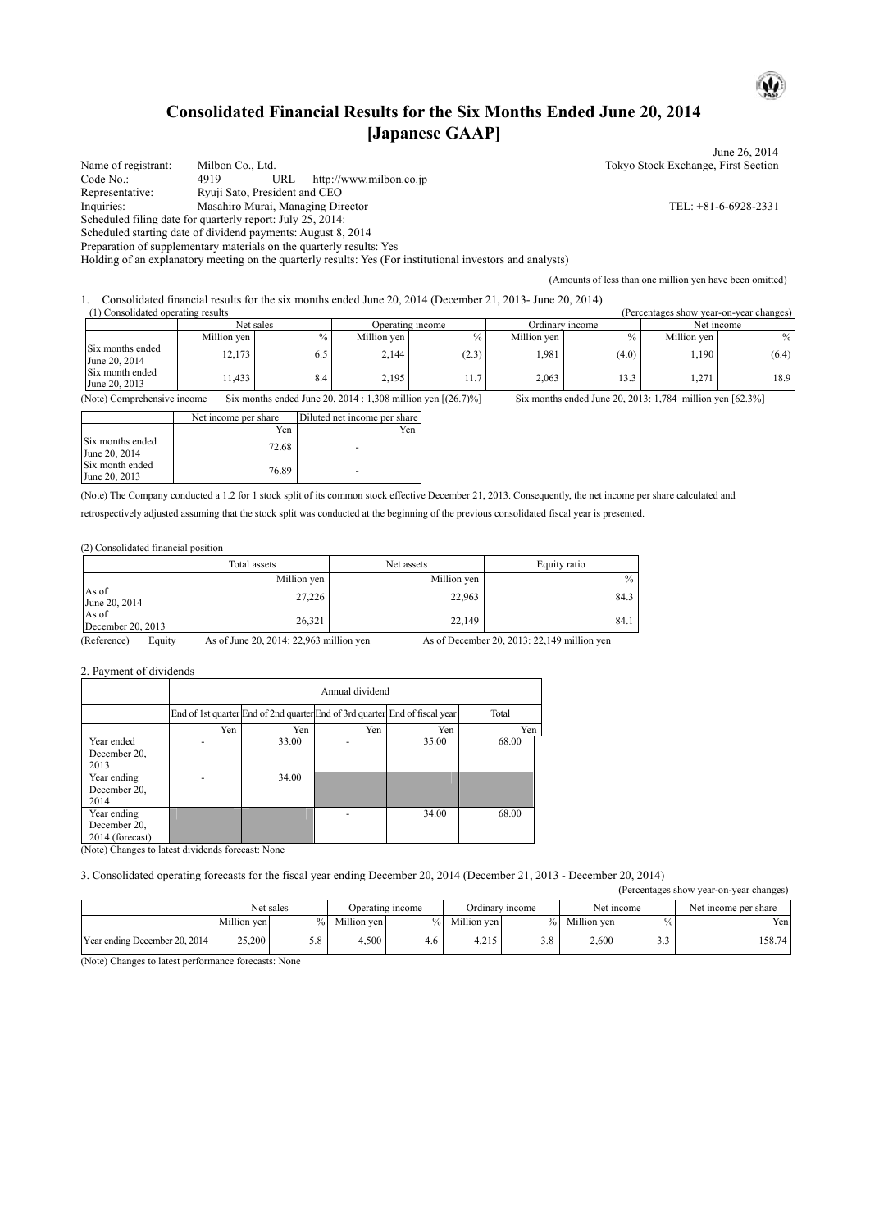## **Consolidated Financial Results for the Six Months Ended June 20, 2014 [Japanese GAAP]**

June 26, 2014 Name of registrant: Milbon Co., Ltd. Tokyo Stock Exchange, First Section<br>
Code No.: 4919 URL http://www.milbon.co.jp Code No.: 4919 URL http://www.milbon.co.jp<br>
Representative: Ryuji Sato, President and CEO Ryuji Sato, President and CEO Inquiries: Masahiro Murai, Managing Director TEL: +81-6-6928-2331 Scheduled filing date for quarterly report: July 25, 2014: Scheduled starting date of dividend payments: August 8, 2014 Preparation of supplementary materials on the quarterly results: Yes Holding of an explanatory meeting on the quarterly results: Yes (For institutional investors and analysts)

(Amounts of less than one million yen have been omitted)

1. Consolidated financial results for the six months ended June 20, 2014 (December 21, 2013- June 20, 2014)

| (1) Consolidated operating results |             |               | .           |                  |             |                 | (Percentages show year-on-year changes) |            |
|------------------------------------|-------------|---------------|-------------|------------------|-------------|-----------------|-----------------------------------------|------------|
|                                    |             | Net sales     |             | Operating income |             | Ordinary income |                                         | Net income |
|                                    | Million yen | $\frac{0}{0}$ | Million yen | $\frac{0}{0}$    | Million yen | $\%$            | Million yen                             | $\%$       |
| Six months ended<br>June 20, 2014  | 12.173      | 6.5           | 2.144       | (2.3)            | 1,981       | (4.0)           | .190                                    | (6.4)      |
| Six month ended<br>June 20, 2013   | 11.433      | 8.4           | 2,195       | 11.7             | 2,063       | 13.3            | .271                                    | 18.9       |

(Note) Comprehensive income Six months ended June 20, 2014 : 1,308 million yen [(26.7)%] Six months ended June 20, 2013: 1,784 million yen [62.3%]

|                                   | Net income per share | Diluted net income per share |
|-----------------------------------|----------------------|------------------------------|
|                                   | Yen                  | Yen                          |
| Six months ended<br>June 20, 2014 | 72.68                |                              |
| Six month ended<br>June 20, 2013  | 76.89                |                              |

(Note) The Company conducted a 1.2 for 1 stock split of its common stock effective December 21, 2013. Consequently, the net income per share calculated and retrospectively adjusted assuming that the stock split was conducted at the beginning of the previous consolidated fiscal year is presented.

(2) Consolidated financial position

|                            | Total assets | Net assets  | Equity ratio |
|----------------------------|--------------|-------------|--------------|
|                            | Million yen  | Million yen | $\%$         |
| As of<br>June 20, 2014     | 27,226       | 22,963      | 84.3         |
| As of<br>December 20, 2013 | 26,321       | 22,149      | 84.1         |

(Reference) Equity As of June 20, 2014: 22,963 million yen As of December 20, 2013: 22,149 million yen

2. Payment of dividends

|                                                | Annual dividend |                                                                             |     |              |              |  |  |
|------------------------------------------------|-----------------|-----------------------------------------------------------------------------|-----|--------------|--------------|--|--|
|                                                |                 | End of 1st quarter End of 2nd quarter End of 3rd quarter End of fiscal year |     |              | Total        |  |  |
| Year ended<br>December 20,<br>2013             | Yen             | Yen<br>33.00                                                                | Yen | Yen<br>35.00 | Yen<br>68.00 |  |  |
| Year ending<br>December 20,<br>2014            |                 | 34.00                                                                       |     |              |              |  |  |
| Year ending<br>December 20,<br>2014 (forecast) |                 |                                                                             |     | 34.00        | 68.00        |  |  |

(Note) Changes to latest dividends forecast: None

3. Consolidated operating forecasts for the fiscal year ending December 20, 2014 (December 21, 2013 - December 20, 2014)

|                               |             |      |                  |      |                 |     |               |      | (Percentages show year-on-year changes) |
|-------------------------------|-------------|------|------------------|------|-----------------|-----|---------------|------|-----------------------------------------|
|                               | Net sales   |      | Operating income |      | Ordinary income |     | Net income    |      | Net income per share                    |
|                               | Million yen | $\%$ | Million yen      | $\%$ | Million yen     |     | % Million yen | $\%$ | Yen                                     |
| Year ending December 20, 2014 | 25.200      | 5.8  | 4.500            | 4.6  | 4.215           | 3.8 | 2.600         |      | 158.74                                  |

(Note) Changes to latest performance forecasts: None

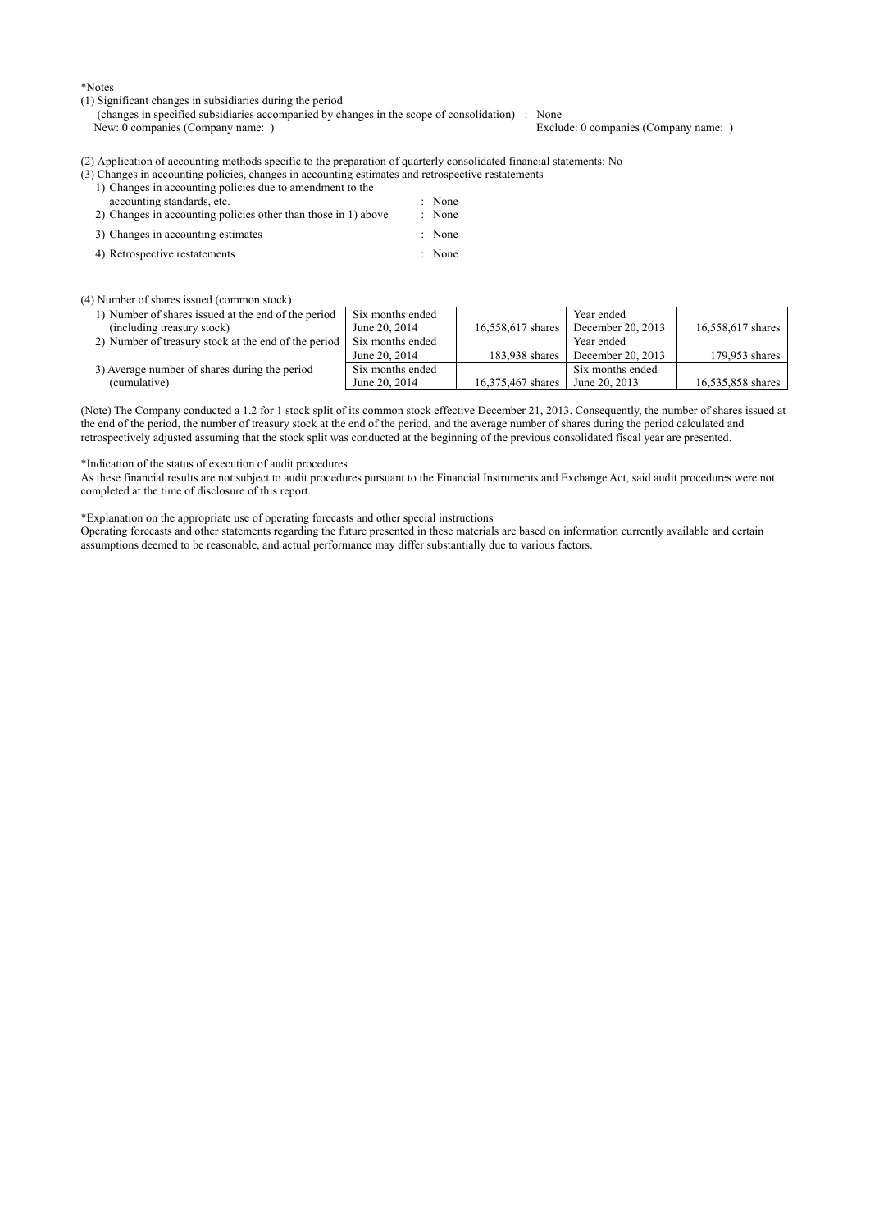\*Notes

- (1) Significant changes in subsidiaries during the period
	- (changes in specified subsidiaries accompanied by changes in the scope of consolidation) : None New: 0 companies (Company name: )

(2) Application of accounting methods specific to the preparation of quarterly consolidated financial statements: No

- (3) Changes in accounting policies, changes in accounting estimates and retrospective restatements
	- 1) Changes in accounting policies due to amendment to the accounting standards, etc.  $\qquad \qquad$  : None

| 2) Changes in accounting policies other than those in 1) above | : None |
|----------------------------------------------------------------|--------|
| 3) Changes in accounting estimates                             | : None |
| 4) Retrospective restatements                                  | : None |

- (4) Number of shares issued (common stock)
	-

| 1) Number of shares issued at the end of the period  | Six months ended |                                   | Year ended        |                   |
|------------------------------------------------------|------------------|-----------------------------------|-------------------|-------------------|
| (including treasury stock)                           | June 20, 2014    | 16,558,617 shares                 | December 20, 2013 | 16,558,617 shares |
| 2) Number of treasury stock at the end of the period | Six months ended |                                   | Year ended        |                   |
|                                                      | June 20, 2014    | 183.938 shares                    | December 20, 2013 | 179,953 shares    |
| 3) Average number of shares during the period        | Six months ended |                                   | Six months ended  |                   |
| (cumulative)                                         | June 20, 2014    | 16,375,467 shares   June 20, 2013 |                   | 16,535,858 shares |

(Note) The Company conducted a 1.2 for 1 stock split of its common stock effective December 21, 2013. Consequently, the number of shares issued at the end of the period, the number of treasury stock at the end of the period, and the average number of shares during the period calculated and retrospectively adjusted assuming that the stock split was conducted at the beginning of the previous consolidated fiscal year are presented.

\*Indication of the status of execution of audit procedures

As these financial results are not subject to audit procedures pursuant to the Financial Instruments and Exchange Act, said audit procedures were not completed at the time of disclosure of this report.

\*Explanation on the appropriate use of operating forecasts and other special instructions

Operating forecasts and other statements regarding the future presented in these materials are based on information currently available and certain assumptions deemed to be reasonable, and actual performance may differ substantially due to various factors.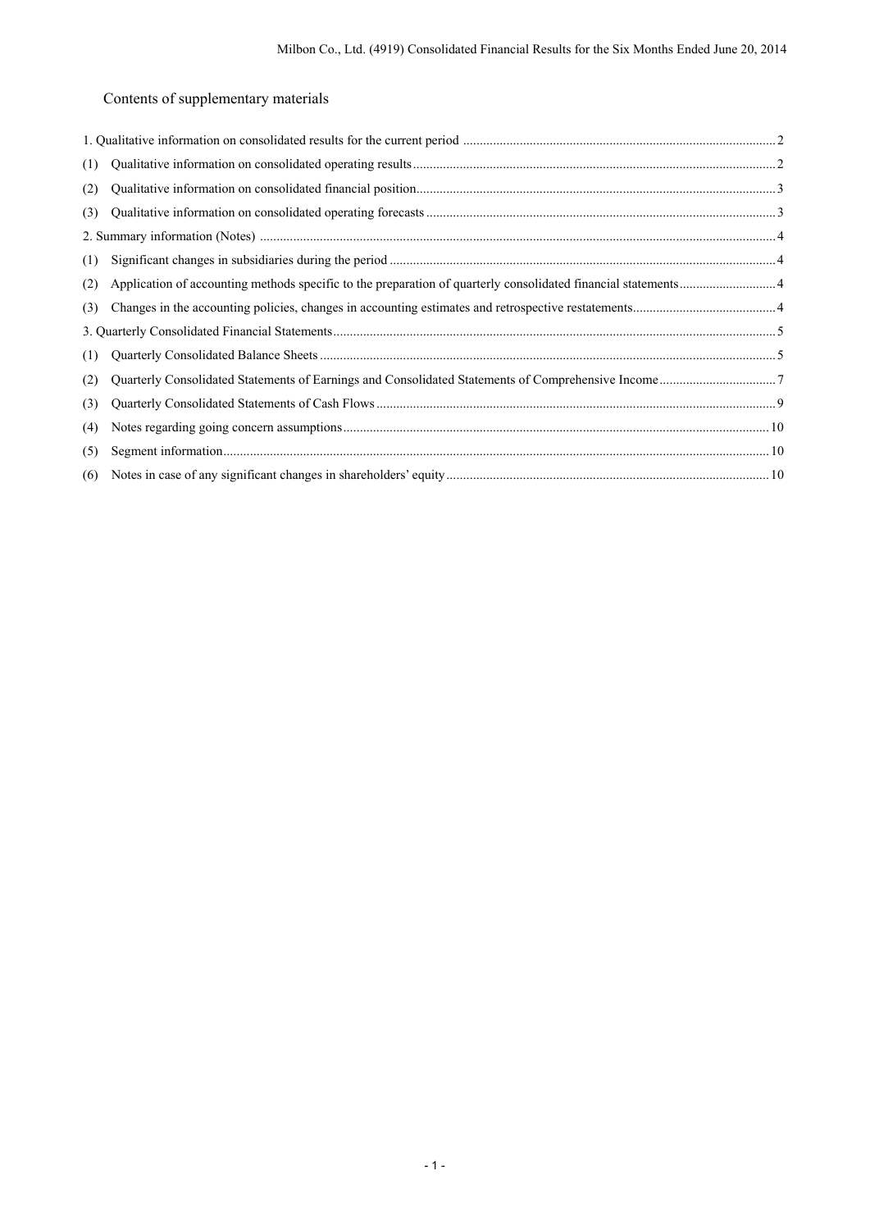Contents of supplementary materials

| (1) |  |
|-----|--|
| (2) |  |
| (3) |  |
|     |  |
| (1) |  |
| (2) |  |
| (3) |  |
|     |  |
| (1) |  |
| (2) |  |
| (3) |  |
| (4) |  |
| (5) |  |
| (6) |  |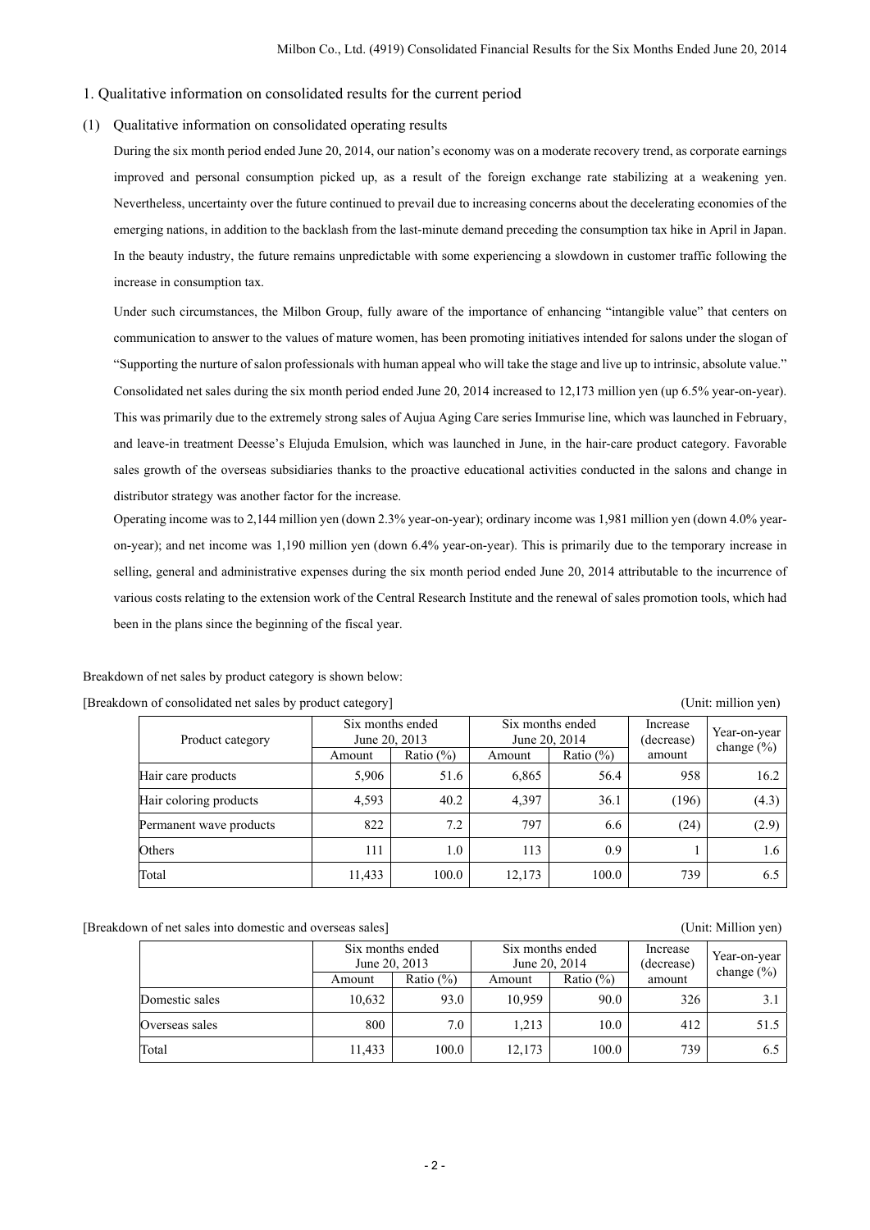## 1. Qualitative information on consolidated results for the current period

## (1) Qualitative information on consolidated operating results

During the six month period ended June 20, 2014, our nation's economy was on a moderate recovery trend, as corporate earnings improved and personal consumption picked up, as a result of the foreign exchange rate stabilizing at a weakening yen. Nevertheless, uncertainty over the future continued to prevail due to increasing concerns about the decelerating economies of the emerging nations, in addition to the backlash from the last-minute demand preceding the consumption tax hike in April in Japan. In the beauty industry, the future remains unpredictable with some experiencing a slowdown in customer traffic following the increase in consumption tax.

Under such circumstances, the Milbon Group, fully aware of the importance of enhancing "intangible value" that centers on communication to answer to the values of mature women, has been promoting initiatives intended for salons under the slogan of "Supporting the nurture of salon professionals with human appeal who will take the stage and live up to intrinsic, absolute value." Consolidated net sales during the six month period ended June 20, 2014 increased to 12,173 million yen (up 6.5% year-on-year). This was primarily due to the extremely strong sales of Aujua Aging Care series Immurise line, which was launched in February, and leave-in treatment Deesse's Elujuda Emulsion, which was launched in June, in the hair-care product category. Favorable sales growth of the overseas subsidiaries thanks to the proactive educational activities conducted in the salons and change in distributor strategy was another factor for the increase.

Operating income was to 2,144 million yen (down 2.3% year-on-year); ordinary income was 1,981 million yen (down 4.0% yearon-year); and net income was 1,190 million yen (down 6.4% year-on-year). This is primarily due to the temporary increase in selling, general and administrative expenses during the six month period ended June 20, 2014 attributable to the incurrence of various costs relating to the extension work of the Central Research Institute and the renewal of sales promotion tools, which had been in the plans since the beginning of the fiscal year.

Breakdown of net sales by product category is shown below:

| $\frac{1}{100}$ of consolidated not safed by product calleger $\frac{1}{100}$<br>$\sum$ |                                   |              |                                   |               |                        |                                |
|-----------------------------------------------------------------------------------------|-----------------------------------|--------------|-----------------------------------|---------------|------------------------|--------------------------------|
| Product category                                                                        | Six months ended<br>June 20, 2013 |              | Six months ended<br>June 20, 2014 |               | Increase<br>(decrease) | Year-on-year<br>change $(\% )$ |
|                                                                                         | Amount                            | Ratio $(\%)$ | Amount                            | Ratio $(\% )$ | amount                 |                                |
| Hair care products                                                                      | 5,906                             | 51.6         | 6,865                             | 56.4          | 958                    | 16.2                           |
| Hair coloring products                                                                  | 4,593                             | 40.2         | 4.397                             | 36.1          | (196)                  | (4.3)                          |
| Permanent wave products                                                                 | 822                               | 7.2          | 797                               | 6.6           | (24)                   | (2.9)                          |
| Others                                                                                  | 111                               | 1.0          | 113                               | 0.9           |                        | 1.6                            |
| Total                                                                                   | 11,433                            | 100.0        | 12,173                            | 100.0         | 739                    | 6.5                            |

[Breakdown of consolidated net sales by product category] (Unit: million yen)

[Breakdown of net sales into domestic and overseas sales] (Unit: Million yen)

|                |        | Six months ended<br>June 20, 2013 |        | Six months ended<br>June 20, 2014 |        | Year-on-year   |
|----------------|--------|-----------------------------------|--------|-----------------------------------|--------|----------------|
|                | Amount | Ratio $(\%)$                      | Amount | Ratio $(\%)$                      | amount | change $(\% )$ |
| Domestic sales | 10,632 | 93.0                              | 10,959 | 90.0                              | 326    | 3.1            |
| Overseas sales | 800    | 7.0                               | 1.213  | 10.0                              | 412    | 51.5           |
| Total          | 11,433 | 100.0                             | 12,173 | 100.0                             | 739    | 6.5            |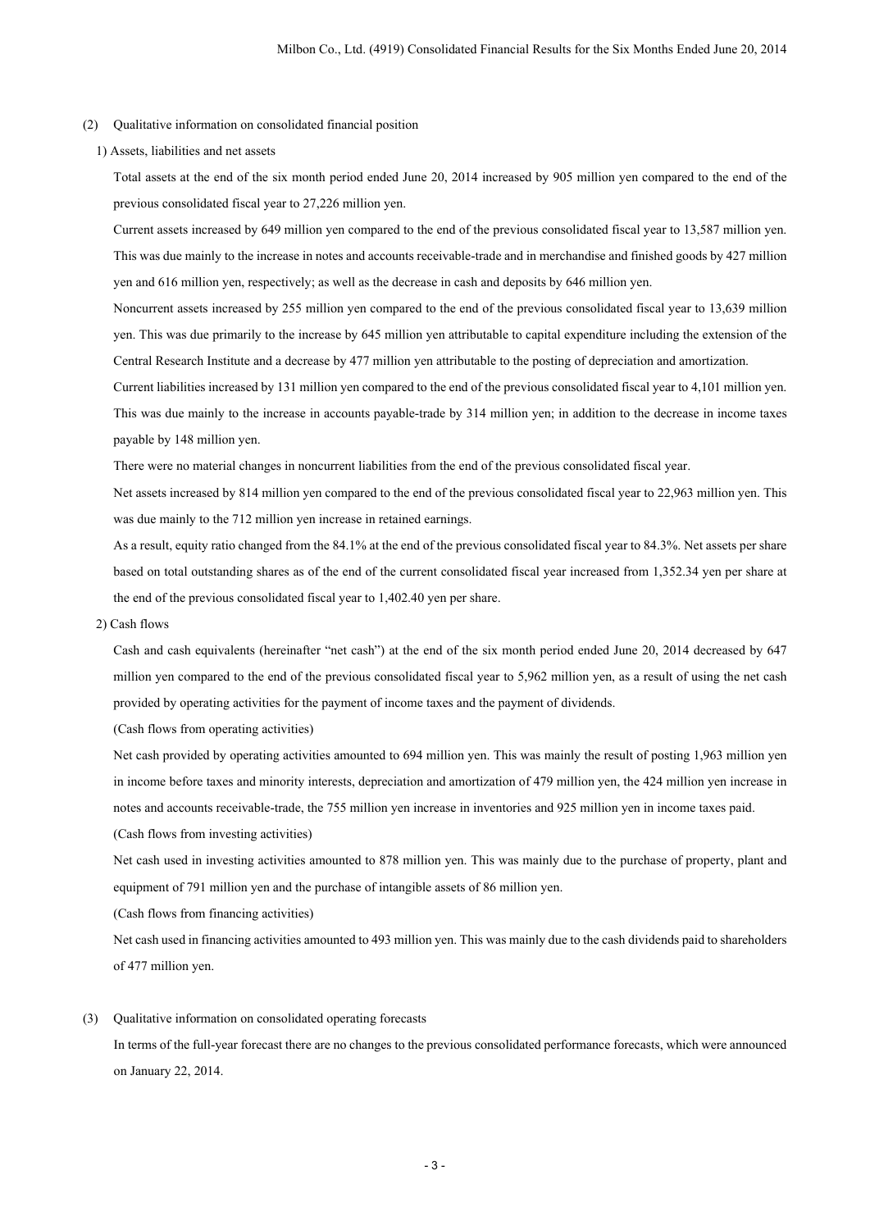- (2) Qualitative information on consolidated financial position
	- 1) Assets, liabilities and net assets

Total assets at the end of the six month period ended June 20, 2014 increased by 905 million yen compared to the end of the previous consolidated fiscal year to 27,226 million yen.

Current assets increased by 649 million yen compared to the end of the previous consolidated fiscal year to 13,587 million yen. This was due mainly to the increase in notes and accounts receivable-trade and in merchandise and finished goods by 427 million yen and 616 million yen, respectively; as well as the decrease in cash and deposits by 646 million yen.

Noncurrent assets increased by 255 million yen compared to the end of the previous consolidated fiscal year to 13,639 million yen. This was due primarily to the increase by 645 million yen attributable to capital expenditure including the extension of the Central Research Institute and a decrease by 477 million yen attributable to the posting of depreciation and amortization.

Current liabilities increased by 131 million yen compared to the end of the previous consolidated fiscal year to 4,101 million yen. This was due mainly to the increase in accounts payable-trade by 314 million yen; in addition to the decrease in income taxes payable by 148 million yen.

There were no material changes in noncurrent liabilities from the end of the previous consolidated fiscal year.

Net assets increased by 814 million yen compared to the end of the previous consolidated fiscal year to 22,963 million yen. This was due mainly to the 712 million yen increase in retained earnings.

As a result, equity ratio changed from the 84.1% at the end of the previous consolidated fiscal year to 84.3%. Net assets per share based on total outstanding shares as of the end of the current consolidated fiscal year increased from 1,352.34 yen per share at the end of the previous consolidated fiscal year to 1,402.40 yen per share.

2) Cash flows

Cash and cash equivalents (hereinafter "net cash") at the end of the six month period ended June 20, 2014 decreased by 647 million yen compared to the end of the previous consolidated fiscal year to 5,962 million yen, as a result of using the net cash provided by operating activities for the payment of income taxes and the payment of dividends.

(Cash flows from operating activities)

Net cash provided by operating activities amounted to 694 million yen. This was mainly the result of posting 1,963 million yen in income before taxes and minority interests, depreciation and amortization of 479 million yen, the 424 million yen increase in notes and accounts receivable-trade, the 755 million yen increase in inventories and 925 million yen in income taxes paid.

(Cash flows from investing activities)

Net cash used in investing activities amounted to 878 million yen. This was mainly due to the purchase of property, plant and equipment of 791 million yen and the purchase of intangible assets of 86 million yen.

(Cash flows from financing activities)

Net cash used in financing activities amounted to 493 million yen. This was mainly due to the cash dividends paid to shareholders of 477 million yen.

(3) Qualitative information on consolidated operating forecasts

In terms of the full-year forecast there are no changes to the previous consolidated performance forecasts, which were announced on January 22, 2014.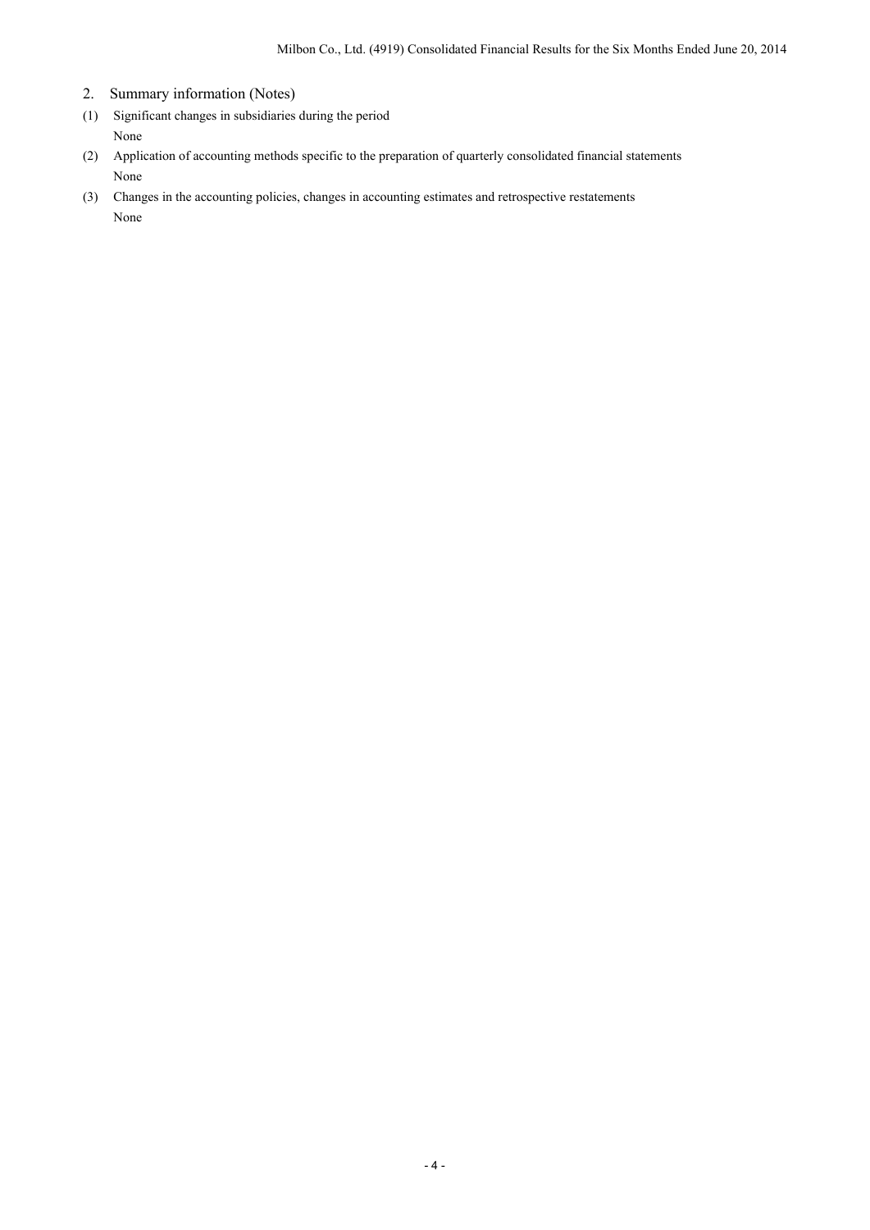- 2. Summary information (Notes)
- (1) Significant changes in subsidiaries during the period None
- (2) Application of accounting methods specific to the preparation of quarterly consolidated financial statements None
- (3) Changes in the accounting policies, changes in accounting estimates and retrospective restatements None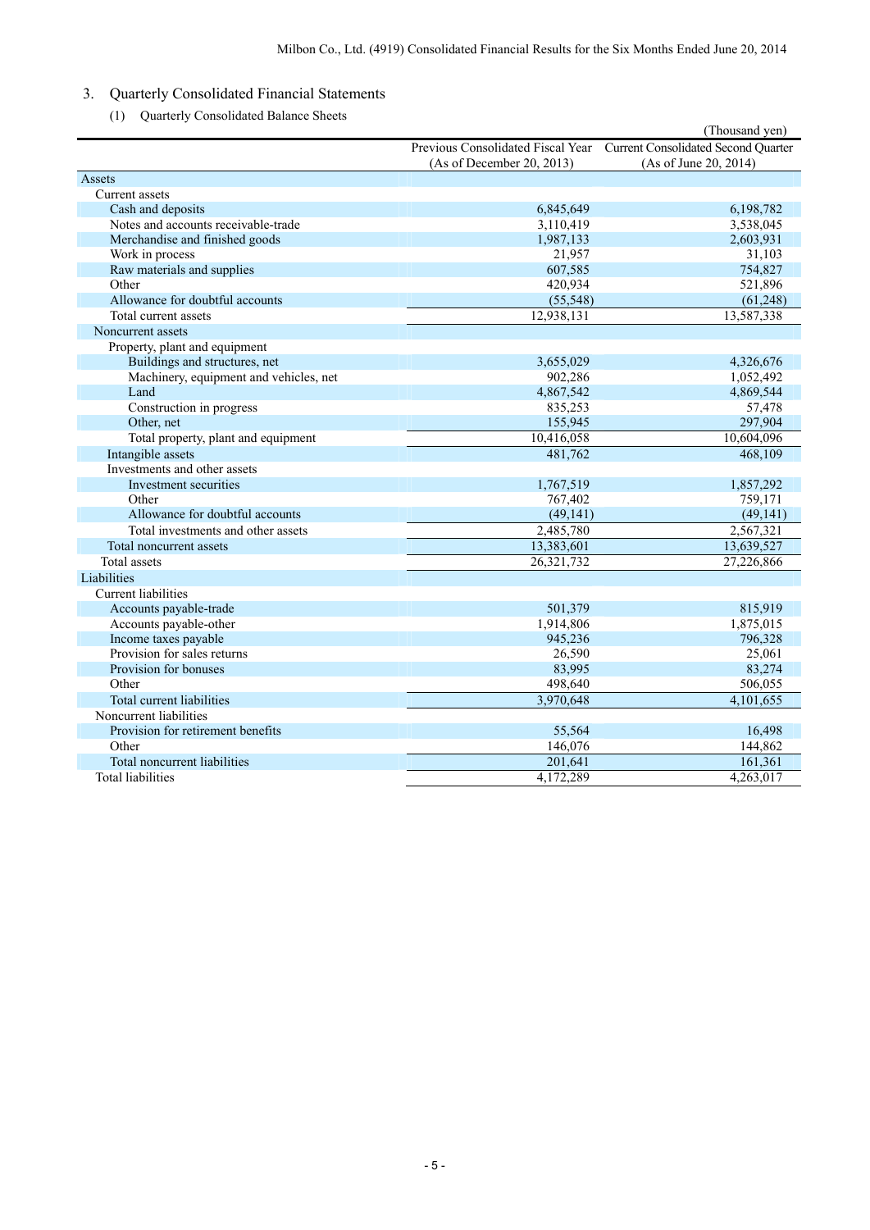- 3. Quarterly Consolidated Financial Statements
	- (1) Quarterly Consolidated Balance Sheets

|                                        |                           | (Thousand yen)                                                        |
|----------------------------------------|---------------------------|-----------------------------------------------------------------------|
|                                        |                           | Previous Consolidated Fiscal Year Current Consolidated Second Quarter |
|                                        | (As of December 20, 2013) | (As of June 20, 2014)                                                 |
| Assets                                 |                           |                                                                       |
| Current assets                         |                           |                                                                       |
| Cash and deposits                      | 6,845,649                 | 6,198,782                                                             |
| Notes and accounts receivable-trade    | 3,110,419                 | 3,538,045                                                             |
| Merchandise and finished goods         | 1,987,133                 | 2,603,931                                                             |
| Work in process                        | 21,957                    | 31,103                                                                |
| Raw materials and supplies             | 607,585                   | 754,827                                                               |
| Other                                  | 420,934                   | 521,896                                                               |
| Allowance for doubtful accounts        | (55,548)                  | (61, 248)                                                             |
| Total current assets                   | 12,938,131                | 13,587,338                                                            |
| Noncurrent assets                      |                           |                                                                       |
| Property, plant and equipment          |                           |                                                                       |
| Buildings and structures, net          | 3,655,029                 | 4,326,676                                                             |
| Machinery, equipment and vehicles, net | 902,286                   | 1,052,492                                                             |
| Land                                   | 4,867,542                 | 4,869,544                                                             |
| Construction in progress               | 835,253                   | 57,478                                                                |
| Other, net                             | 155,945                   | 297,904                                                               |
| Total property, plant and equipment    | 10,416,058                | 10,604,096                                                            |
| Intangible assets                      | 481,762                   | 468,109                                                               |
| Investments and other assets           |                           |                                                                       |
| Investment securities                  | 1,767,519                 | 1,857,292                                                             |
| Other                                  | 767,402                   | 759,171                                                               |
| Allowance for doubtful accounts        | (49, 141)                 | (49, 141)                                                             |
| Total investments and other assets     | 2,485,780                 | 2,567,321                                                             |
| Total noncurrent assets                | 13,383,601                | 13,639,527                                                            |
| Total assets                           | 26,321,732                | 27,226,866                                                            |
| Liabilities                            |                           |                                                                       |
| <b>Current liabilities</b>             |                           |                                                                       |
| Accounts payable-trade                 | 501,379                   | 815,919                                                               |
| Accounts payable-other                 | 1,914,806                 | 1,875,015                                                             |
| Income taxes payable                   | 945,236                   | 796,328                                                               |
| Provision for sales returns            | 26,590                    | 25,061                                                                |
| Provision for bonuses                  | 83,995                    | 83,274                                                                |
| Other                                  | 498,640                   | 506,055                                                               |
| Total current liabilities              | 3,970,648                 | 4,101,655                                                             |
| Noncurrent liabilities                 |                           |                                                                       |
| Provision for retirement benefits      | 55,564                    | 16,498                                                                |
| Other                                  | 146,076                   | 144,862                                                               |
| Total noncurrent liabilities           | 201,641                   | 161,361                                                               |
| <b>Total liabilities</b>               | 4,172,289                 | 4,263,017                                                             |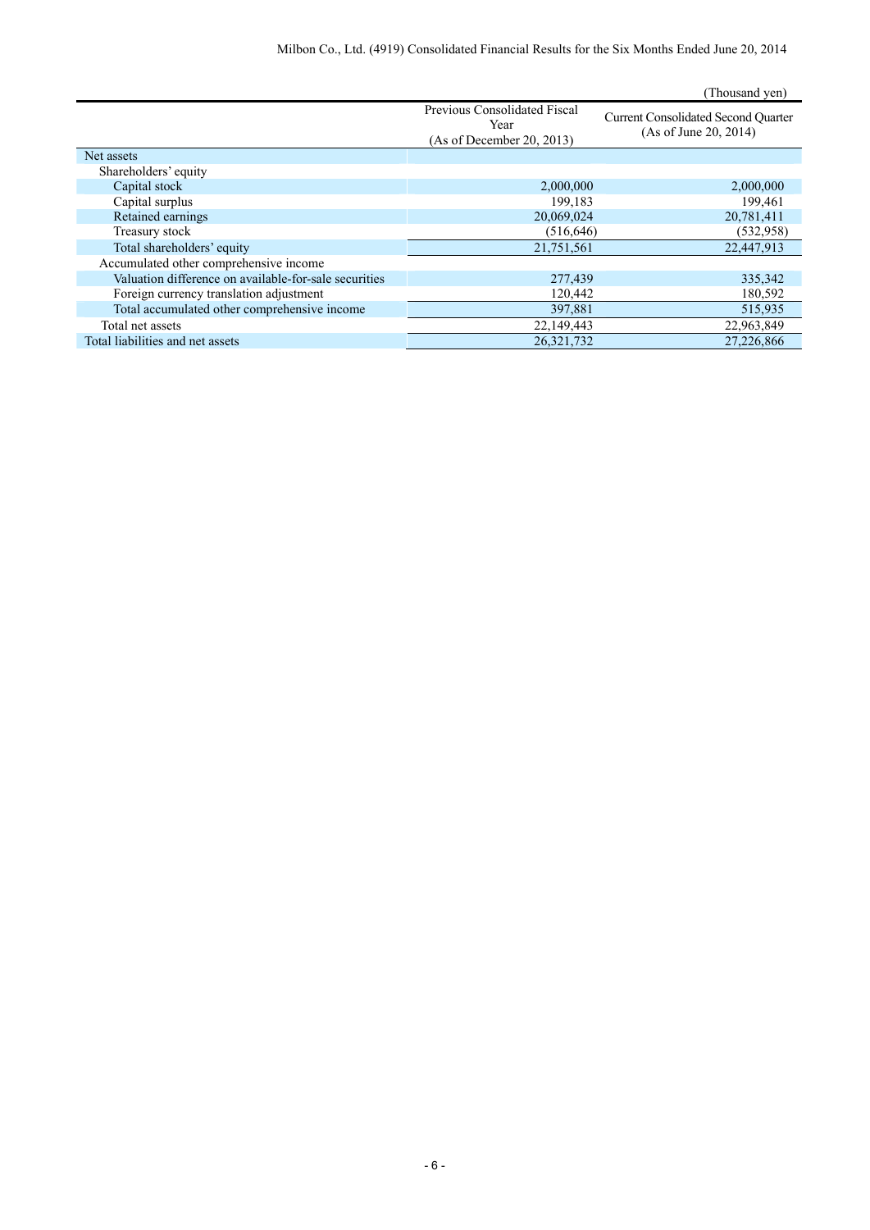|                                                       |                                                                   | (Thousand yen)                                                      |
|-------------------------------------------------------|-------------------------------------------------------------------|---------------------------------------------------------------------|
|                                                       | Previous Consolidated Fiscal<br>Year<br>(As of December 20, 2013) | <b>Current Consolidated Second Quarter</b><br>(As of June 20, 2014) |
| Net assets                                            |                                                                   |                                                                     |
| Shareholders' equity                                  |                                                                   |                                                                     |
| Capital stock                                         | 2,000,000                                                         | 2,000,000                                                           |
| Capital surplus                                       | 199,183                                                           | 199,461                                                             |
| Retained earnings                                     | 20,069,024                                                        | 20,781,411                                                          |
| Treasury stock                                        | (516, 646)                                                        | (532,958)                                                           |
| Total shareholders' equity                            | 21,751,561                                                        | 22,447,913                                                          |
| Accumulated other comprehensive income                |                                                                   |                                                                     |
| Valuation difference on available-for-sale securities | 277,439                                                           | 335,342                                                             |
| Foreign currency translation adjustment               | 120,442                                                           | 180,592                                                             |
| Total accumulated other comprehensive income          | 397,881                                                           | 515,935                                                             |
| Total net assets                                      | 22,149,443                                                        | 22,963,849                                                          |
| Total liabilities and net assets                      | 26,321,732                                                        | 27,226,866                                                          |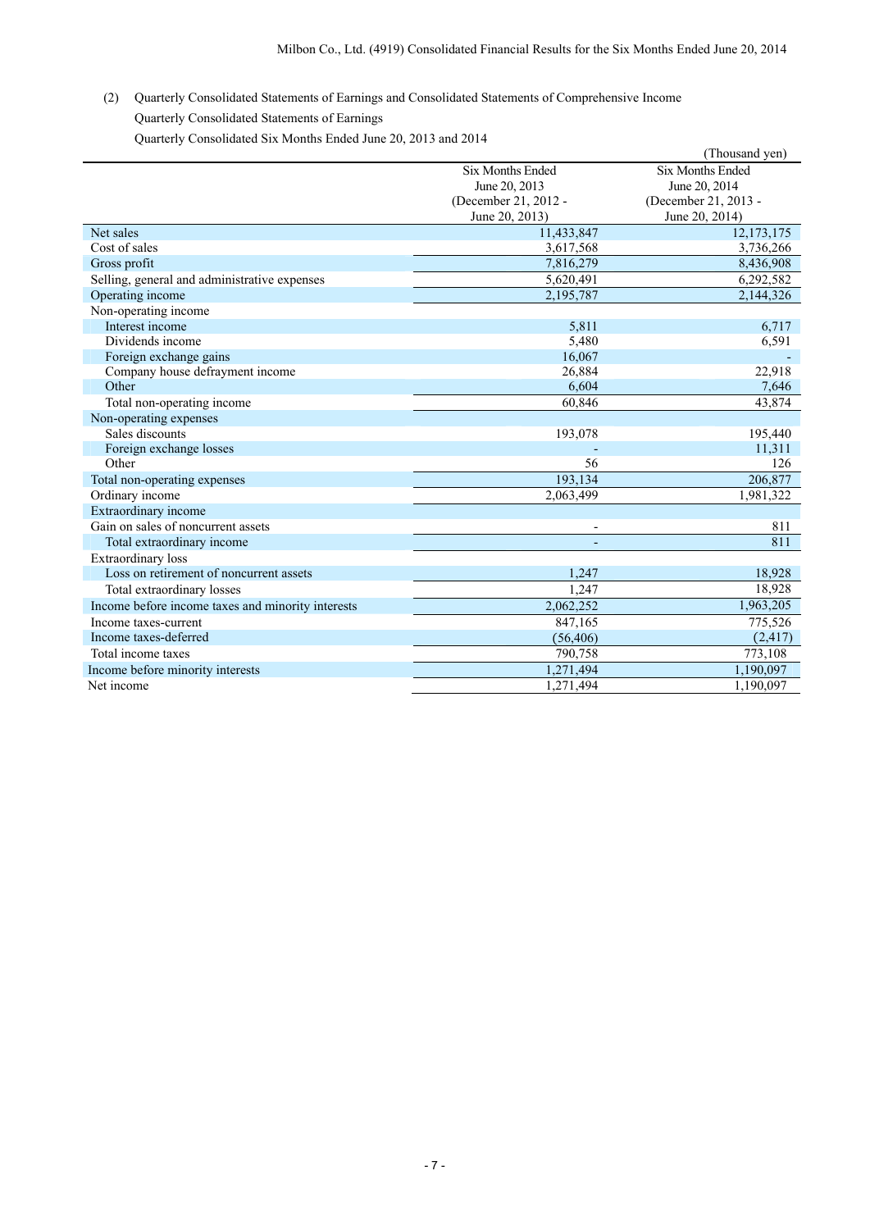(2) Quarterly Consolidated Statements of Earnings and Consolidated Statements of Comprehensive Income Quarterly Consolidated Statements of Earnings

Quarterly Consolidated Six Months Ended June 20, 2013 and 2014

|                                                   |                         | (Thousand yen)          |
|---------------------------------------------------|-------------------------|-------------------------|
|                                                   | <b>Six Months Ended</b> | <b>Six Months Ended</b> |
|                                                   | June 20, 2013           | June 20, 2014           |
|                                                   | (December 21, 2012 -    | (December 21, 2013 -    |
|                                                   | June 20, 2013)          | June 20, 2014)          |
| Net sales                                         | 11,433,847              | 12, 173, 175            |
| Cost of sales                                     | 3,617,568               | 3,736,266               |
| Gross profit                                      | 7,816,279               | 8,436,908               |
| Selling, general and administrative expenses      | 5,620,491               | $\overline{6,}292,582$  |
| Operating income                                  | 2,195,787               | 2,144,326               |
| Non-operating income                              |                         |                         |
| Interest income                                   | 5,811                   | 6,717                   |
| Dividends income                                  | 5,480                   | 6,591                   |
| Foreign exchange gains                            | 16,067                  |                         |
| Company house defrayment income                   | 26,884                  | 22,918                  |
| Other                                             | 6,604                   | 7,646                   |
| Total non-operating income                        | 60,846                  | 43,874                  |
| Non-operating expenses                            |                         |                         |
| Sales discounts                                   | 193,078                 | 195,440                 |
| Foreign exchange losses                           |                         | 11,311                  |
| Other                                             | 56                      | 126                     |
| Total non-operating expenses                      | 193,134                 | 206,877                 |
| Ordinary income                                   | 2.063.499               | 1.981.322               |
| Extraordinary income                              |                         |                         |
| Gain on sales of noncurrent assets                |                         | 811                     |
| Total extraordinary income                        |                         | 811                     |
| Extraordinary loss                                |                         |                         |
| Loss on retirement of noncurrent assets           | 1,247                   | 18,928                  |
| Total extraordinary losses                        | 1,247                   | 18,928                  |
| Income before income taxes and minority interests | 2,062,252               | 1,963,205               |
| Income taxes-current                              | 847,165                 | 775,526                 |
| Income taxes-deferred                             | (56, 406)               | (2, 417)                |
| Total income taxes                                | 790,758                 | 773,108                 |
| Income before minority interests                  | 1,271,494               | 1,190,097               |
| Net income                                        | 1,271,494               | 1,190,097               |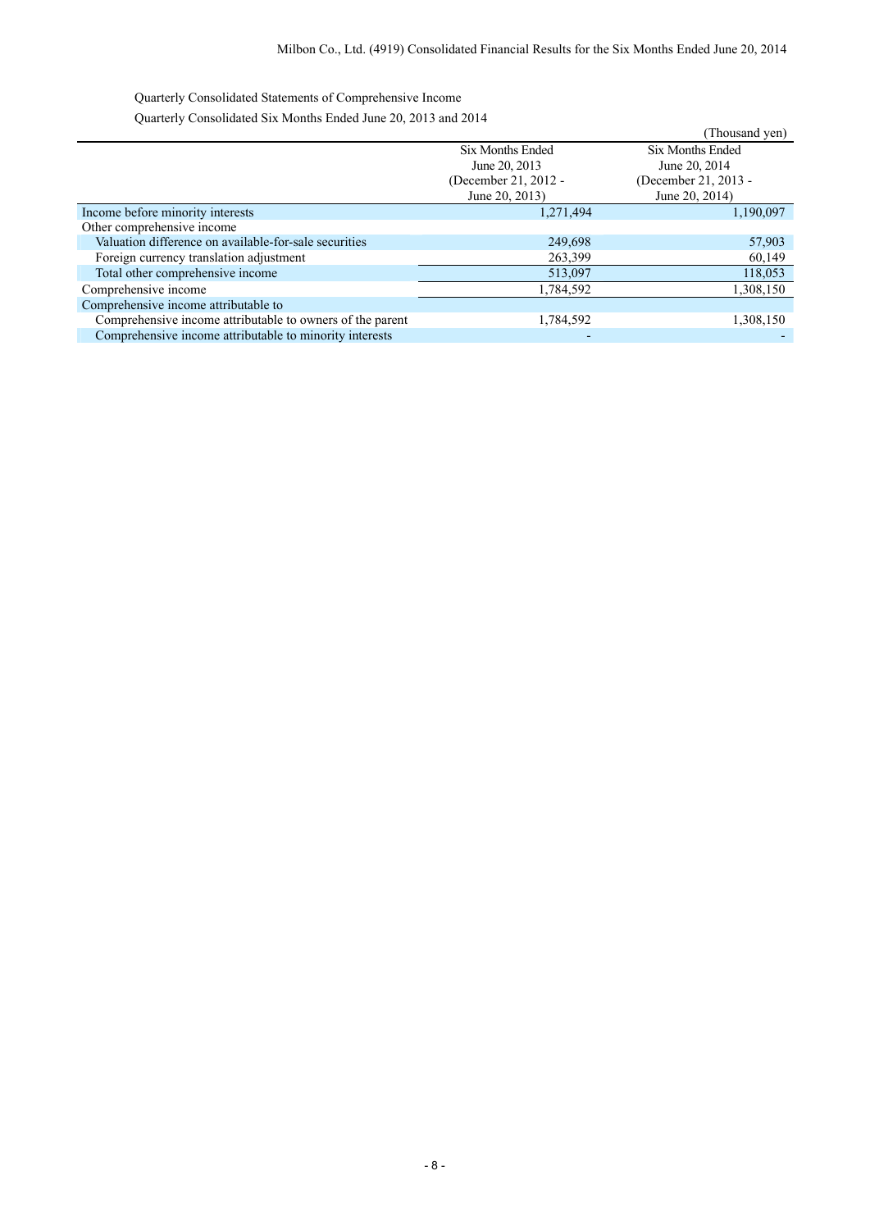Quarterly Consolidated Statements of Comprehensive Income

Quarterly Consolidated Six Months Ended June 20, 2013 and 2014

| $\sqrt{a}$ and $\sqrt{b}$ and $\sqrt{c}$ and $\sqrt{c}$ and $\sqrt{c}$ and $\sqrt{c}$ and $\sqrt{c}$ and $\sqrt{c}$ and $\sqrt{c}$ |                      | (Thousand yen)          |
|------------------------------------------------------------------------------------------------------------------------------------|----------------------|-------------------------|
|                                                                                                                                    | Six Months Ended     | <b>Six Months Ended</b> |
|                                                                                                                                    | June 20, 2013        | June 20, 2014           |
|                                                                                                                                    | (December 21, 2012 - | (December 21, 2013 -    |
|                                                                                                                                    | June 20, 2013)       | June 20, 2014)          |
| Income before minority interests                                                                                                   | 1,271,494            | 1,190,097               |
| Other comprehensive income                                                                                                         |                      |                         |
| Valuation difference on available-for-sale securities                                                                              | 249.698              | 57,903                  |
| Foreign currency translation adjustment                                                                                            | 263,399              | 60,149                  |
| Total other comprehensive income                                                                                                   | 513,097              | 118,053                 |
| Comprehensive income                                                                                                               | 1,784,592            | 1,308,150               |
| Comprehensive income attributable to                                                                                               |                      |                         |
| Comprehensive income attributable to owners of the parent                                                                          | 1,784,592            | 1,308,150               |
| Comprehensive income attributable to minority interests                                                                            |                      |                         |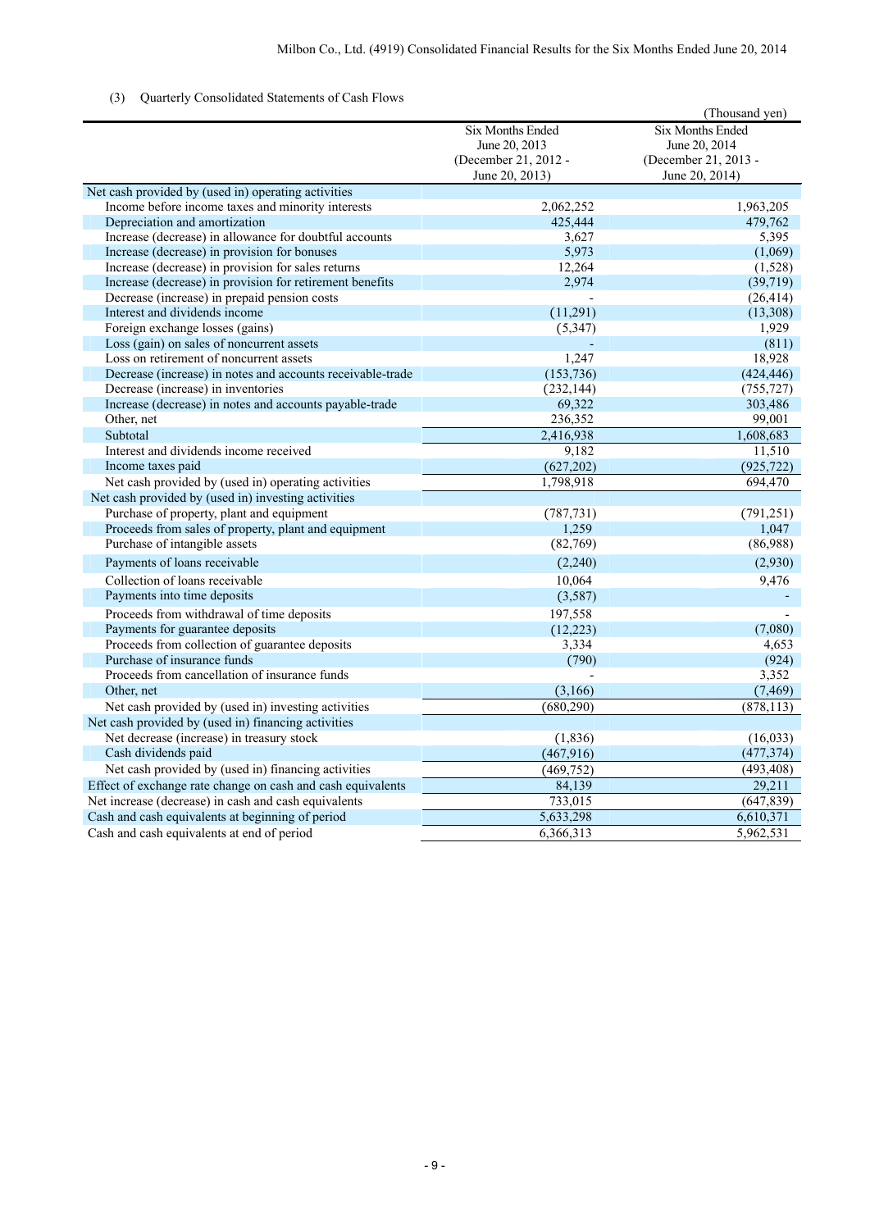## (3) Quarterly Consolidated Statements of Cash Flows

|                                                             |                                                                             | (Thousand yen)                                                              |
|-------------------------------------------------------------|-----------------------------------------------------------------------------|-----------------------------------------------------------------------------|
|                                                             | Six Months Ended<br>June 20, 2013<br>(December 21, 2012 -<br>June 20, 2013) | Six Months Ended<br>June 20, 2014<br>(December 21, 2013 -<br>June 20, 2014) |
| Net cash provided by (used in) operating activities         |                                                                             |                                                                             |
| Income before income taxes and minority interests           | 2,062,252                                                                   | 1,963,205                                                                   |
| Depreciation and amortization                               | 425,444                                                                     | 479,762                                                                     |
| Increase (decrease) in allowance for doubtful accounts      | 3,627                                                                       | 5,395                                                                       |
| Increase (decrease) in provision for bonuses                | 5,973                                                                       | (1,069)                                                                     |
| Increase (decrease) in provision for sales returns          | 12,264                                                                      | (1,528)                                                                     |
| Increase (decrease) in provision for retirement benefits    | 2,974                                                                       | (39, 719)                                                                   |
| Decrease (increase) in prepaid pension costs                |                                                                             | (26, 414)                                                                   |
| Interest and dividends income                               | (11,291)                                                                    | (13,308)                                                                    |
| Foreign exchange losses (gains)                             | (5, 347)                                                                    | 1,929                                                                       |
| Loss (gain) on sales of noncurrent assets                   |                                                                             | (811)                                                                       |
| Loss on retirement of noncurrent assets                     | 1,247                                                                       | 18,928                                                                      |
| Decrease (increase) in notes and accounts receivable-trade  | (153, 736)                                                                  | (424, 446)                                                                  |
| Decrease (increase) in inventories                          | (232, 144)                                                                  | (755, 727)                                                                  |
| Increase (decrease) in notes and accounts payable-trade     | 69,322                                                                      | 303,486                                                                     |
| Other, net                                                  | 236,352                                                                     | 99,001                                                                      |
| Subtotal                                                    | 2,416,938                                                                   | 1,608,683                                                                   |
| Interest and dividends income received                      | 9,182                                                                       | 11,510                                                                      |
| Income taxes paid                                           | (627, 202)                                                                  | (925, 722)                                                                  |
| Net cash provided by (used in) operating activities         | 1,798,918                                                                   | 694,470                                                                     |
| Net cash provided by (used in) investing activities         |                                                                             |                                                                             |
| Purchase of property, plant and equipment                   | (787, 731)                                                                  | (791, 251)                                                                  |
| Proceeds from sales of property, plant and equipment        | 1,259                                                                       | 1,047                                                                       |
| Purchase of intangible assets                               | (82,769)                                                                    | (86,988)                                                                    |
| Payments of loans receivable                                | (2,240)                                                                     | (2,930)                                                                     |
| Collection of loans receivable                              | 10,064                                                                      | 9,476                                                                       |
| Payments into time deposits                                 | (3,587)                                                                     |                                                                             |
| Proceeds from withdrawal of time deposits                   | 197,558                                                                     |                                                                             |
| Payments for guarantee deposits                             | (12, 223)                                                                   | (7,080)                                                                     |
| Proceeds from collection of guarantee deposits              | 3,334                                                                       | 4,653                                                                       |
| Purchase of insurance funds                                 | (790)                                                                       | (924)                                                                       |
| Proceeds from cancellation of insurance funds               |                                                                             | 3,352                                                                       |
| Other, net                                                  | (3,166)                                                                     | (7, 469)                                                                    |
| Net cash provided by (used in) investing activities         | (680, 290)                                                                  | (878, 113)                                                                  |
| Net cash provided by (used in) financing activities         |                                                                             |                                                                             |
| Net decrease (increase) in treasury stock                   | (1, 836)                                                                    | (16, 033)                                                                   |
| Cash dividends paid                                         | (467, 916)                                                                  | (477, 374)                                                                  |
| Net cash provided by (used in) financing activities         | (469, 752)                                                                  | (493, 408)                                                                  |
| Effect of exchange rate change on cash and cash equivalents | 84,139                                                                      | 29,211                                                                      |
| Net increase (decrease) in cash and cash equivalents        | 733,015                                                                     | (647, 839)                                                                  |
| Cash and cash equivalents at beginning of period            | 5,633,298                                                                   | 6,610,371                                                                   |
| Cash and cash equivalents at end of period                  | 6,366,313                                                                   | 5,962,531                                                                   |
|                                                             |                                                                             |                                                                             |